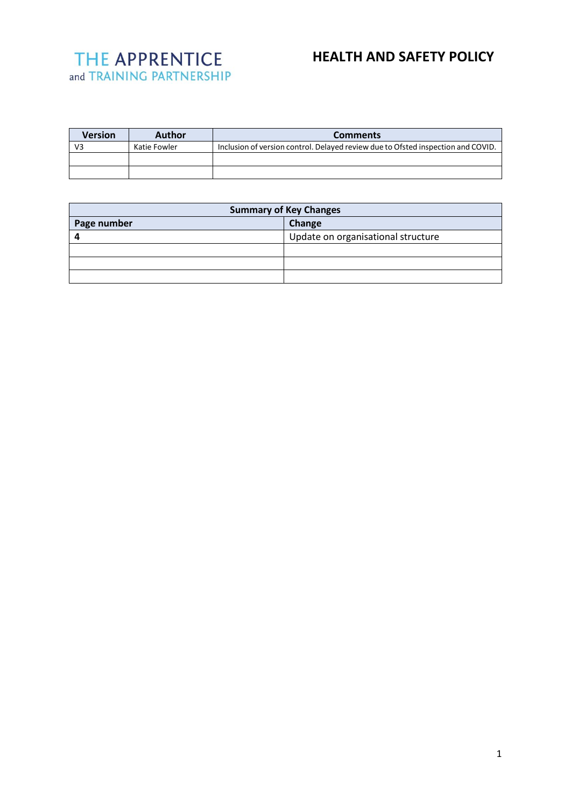# **HEALTH AND SAFETY POLICY**

| <b>Version</b> | Author       | <b>Comments</b>                                                                  |
|----------------|--------------|----------------------------------------------------------------------------------|
| V3             | Katie Fowler | Inclusion of version control. Delayed review due to Ofsted inspection and COVID. |
|                |              |                                                                                  |
|                |              |                                                                                  |

| <b>Summary of Key Changes</b> |                                    |  |
|-------------------------------|------------------------------------|--|
| Page number                   | Change                             |  |
|                               | Update on organisational structure |  |
|                               |                                    |  |
|                               |                                    |  |
|                               |                                    |  |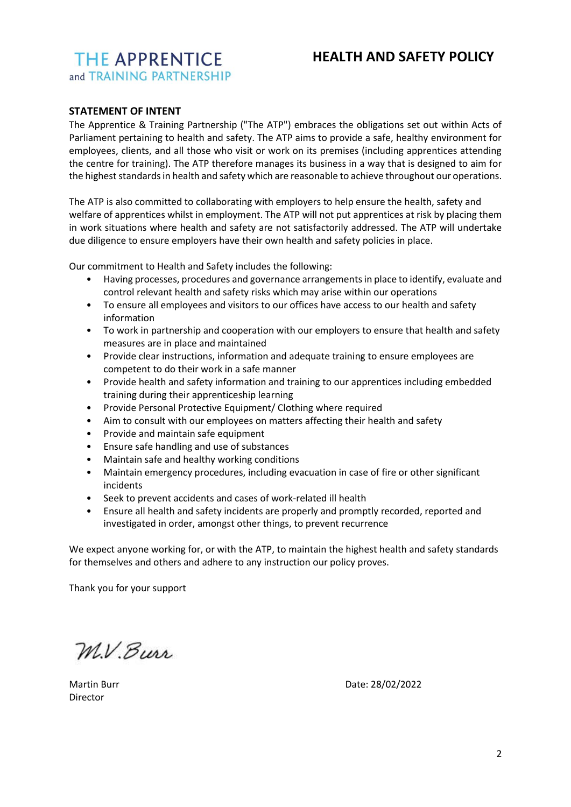# **HEALTH AND SAFETY POLICY**

# **STATEMENT OF INTENT**

The Apprentice & Training Partnership ("The ATP") embraces the obligations set out within Acts of Parliament pertaining to health and safety. The ATP aims to provide a safe, healthy environment for employees, clients, and all those who visit or work on its premises (including apprentices attending the centre for training). The ATP therefore manages its business in a way that is designed to aim for the highest standards in health and safety which are reasonable to achieve throughout our operations.

The ATP is also committed to collaborating with employers to help ensure the health, safety and welfare of apprentices whilst in employment. The ATP will not put apprentices at risk by placing them in work situations where health and safety are not satisfactorily addressed. The ATP will undertake due diligence to ensure employers have their own health and safety policies in place.

Our commitment to Health and Safety includes the following:

- Having processes, procedures and governance arrangements in place to identify, evaluate and control relevant health and safety risks which may arise within our operations
- To ensure all employees and visitors to our offices have access to our health and safety information
- To work in partnership and cooperation with our employers to ensure that health and safety measures are in place and maintained
- Provide clear instructions, information and adequate training to ensure employees are competent to do their work in a safe manner
- Provide health and safety information and training to our apprentices including embedded training during their apprenticeship learning
- Provide Personal Protective Equipment/ Clothing where required
- Aim to consult with our employees on matters affecting their health and safety
- Provide and maintain safe equipment
- Ensure safe handling and use of substances
- Maintain safe and healthy working conditions
- Maintain emergency procedures, including evacuation in case of fire or other significant incidents
- Seek to prevent accidents and cases of work-related ill health
- Ensure all health and safety incidents are properly and promptly recorded, reported and investigated in order, amongst other things, to prevent recurrence

We expect anyone working for, or with the ATP, to maintain the highest health and safety standards for themselves and others and adhere to any instruction our policy proves.

Thank you for your support

M.V. Burr

Director

Martin Burr **Date: 28/02/2022**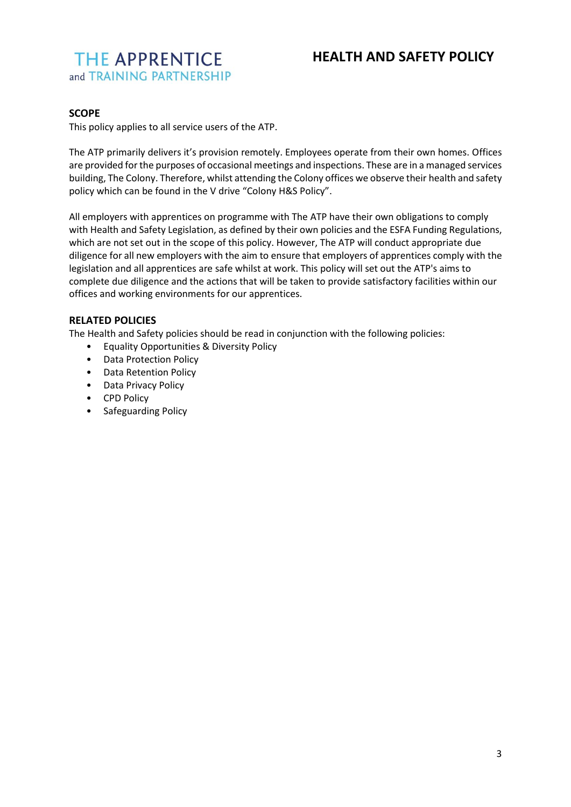## **SCOPE**

This policy applies to all service users of the ATP.

The ATP primarily delivers it's provision remotely. Employees operate from their own homes. Offices are provided for the purposes of occasional meetings and inspections. These are in a managed services building, The Colony. Therefore, whilst attending the Colony offices we observe their health and safety policy which can be found in the V drive "Colony H&S Policy".

All employers with apprentices on programme with The ATP have their own obligations to comply with Health and Safety Legislation, as defined by their own policies and the ESFA Funding Regulations, which are not set out in the scope of this policy. However, The ATP will conduct appropriate due diligence for all new employers with the aim to ensure that employers of apprentices comply with the legislation and all apprentices are safe whilst at work. This policy will set out the ATP's aims to complete due diligence and the actions that will be taken to provide satisfactory facilities within our offices and working environments for our apprentices.

## **RELATED POLICIES**

The Health and Safety policies should be read in conjunction with the following policies:

- Equality Opportunities & Diversity Policy
- Data Protection Policy
- Data Retention Policy
- Data Privacy Policy
- CPD Policy
- Safeguarding Policy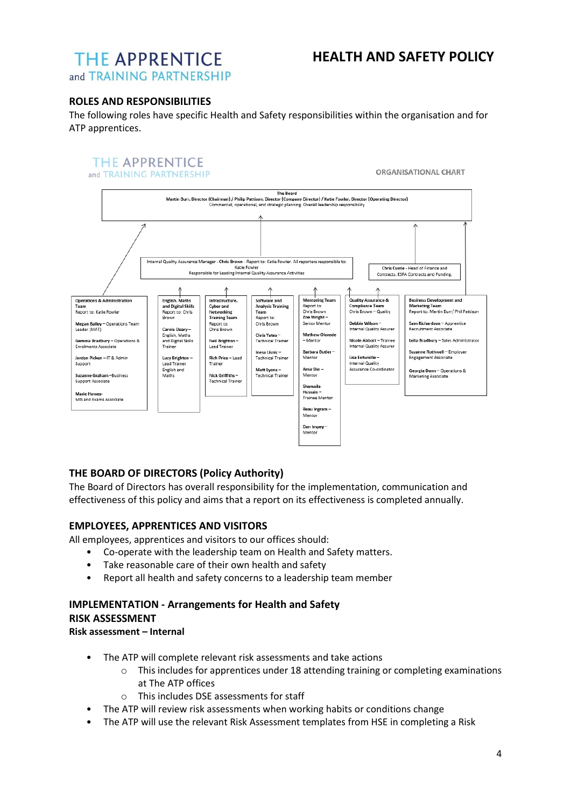# **HEALTH AND SAFETY POLICY**

# **THE APPRENTICE** and TRAINING PARTNERSHIP

## **ROLES AND RESPONSIBILITIES**

The following roles have specific Health and Safety responsibilities within the organisation and for ATP apprentices.

#### **THE APPRENTICE** and TRAINING PARTNERSHIP

ORGANISATIONAL CHART



# **THE BOARD OF DIRECTORS (Policy Authority)**

The Board of Directors has overall responsibility for the implementation, communication and effectiveness of this policy and aims that a report on its effectiveness is completed annually.

## **EMPLOYEES, APPRENTICES AND VISITORS**

All employees, apprentices and visitors to our offices should:

- Co-operate with the leadership team on Health and Safety matters.
- Take reasonable care of their own health and safety
- Report all health and safety concerns to a leadership team member

### **IMPLEMENTATION - Arrangements for Health and Safety RISK ASSESSMENT**

**Risk assessment – Internal** 

- The ATP will complete relevant risk assessments and take actions
	- $\circ$  This includes for apprentices under 18 attending training or completing examinations at The ATP offices
	- o This includes DSE assessments for staff
- The ATP will review risk assessments when working habits or conditions change
- The ATP will use the relevant Risk Assessment templates from HSE in completing a Risk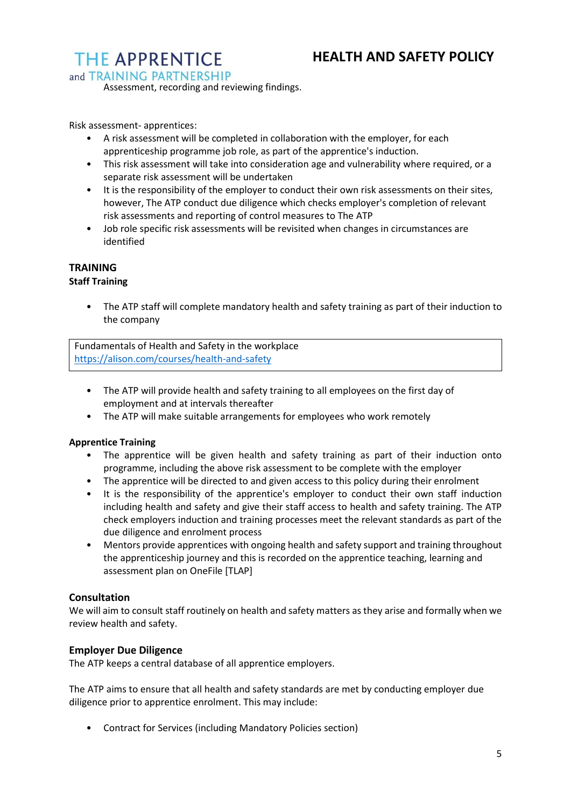# **THE APPRENTICE**

and TRAINING PARTNERSHIP

Assessment, recording and reviewing findings.

Risk assessment- apprentices:

- A risk assessment will be completed in collaboration with the employer, for each apprenticeship programme job role, as part of the apprentice's induction.
- This risk assessment will take into consideration age and vulnerability where required, or a separate risk assessment will be undertaken
- It is the responsibility of the employer to conduct their own risk assessments on their sites, however, The ATP conduct due diligence which checks employer's completion of relevant risk assessments and reporting of control measures to The ATP
- Job role specific risk assessments will be revisited when changes in circumstances are identified

#### **TRAINING Staff Training**

- - The ATP staff will complete mandatory health and safety training as part of their induction to the company

Fundamentals of Health and Safety in the workplace [https://aIison.com/courses/heaIth-and-safety](https://aiison.com/courses/heaIth-and-safety) 

- The ATP will provide health and safety training to all employees on the first day of employment and at intervals thereafter
- The ATP will make suitable arrangements for employees who work remotely

## **Apprentice Training**

- The apprentice will be given health and safety training as part of their induction onto programme, including the above risk assessment to be complete with the employer
- The apprentice will be directed to and given access to this policy during their enrolment
- It is the responsibility of the apprentice's employer to conduct their own staff induction including health and safety and give their staff access to health and safety training. The ATP check employers induction and training processes meet the relevant standards as part of the due diligence and enrolment process
- Mentors provide apprentices with ongoing health and safety support and training throughout the apprenticeship journey and this is recorded on the apprentice teaching, learning and assessment plan on OneFile [TLAP]

## **Consultation**

We will aim to consult staff routinely on health and safety matters as they arise and formally when we review health and safety.

## **Employer Due Diligence**

The ATP keeps a central database of all apprentice employers.

The ATP aims to ensure that all health and safety standards are met by conducting employer due diligence prior to apprentice enrolment. This may include:

• Contract for Services (including Mandatory Policies section)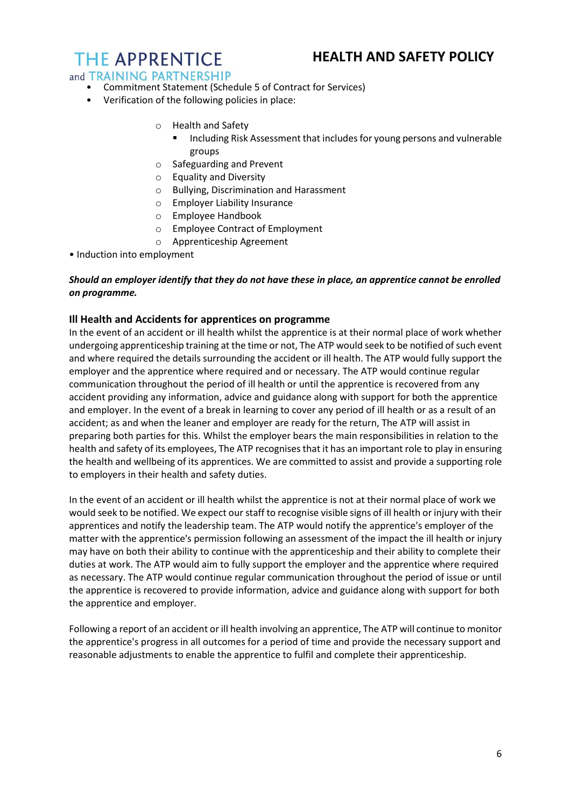# **THE APPRENTICE**

# and TRAINING PARTNERSHIP

- Commitment Statement (Schedule 5 of Contract for Services)
- Verification of the following policies in place:
	- o Health and Safety
		- Including Risk Assessment that includes for young persons and vulnerable groups
	- o Safeguarding and Prevent
	- o Equality and Diversity
	- o Bullying, Discrimination and Harassment
	- o Employer Liability Insurance
	- o Employee Handbook
	- o Employee Contract of Employment
	- o Apprenticeship Agreement
- Induction into employment

### *Should an employer identify that they do not have these in place, an apprentice cannot be enrolled on programme.*

## **Ill Health and Accidents for apprentices on programme**

In the event of an accident or ill health whilst the apprentice is at their normal place of work whether undergoing apprenticeship training at the time or not, The ATP would seek to be notified of such event and where required the details surrounding the accident or ill health. The ATP would fully support the employer and the apprentice where required and or necessary. The ATP would continue regular communication throughout the period of ill health or until the apprentice is recovered from any accident providing any information, advice and guidance along with support for both the apprentice and employer. In the event of a break in learning to cover any period of ill health or as a result of an accident; as and when the leaner and employer are ready for the return, The ATP will assist in preparing both parties for this. Whilst the employer bears the main responsibilities in relation to the health and safety of its employees, The ATP recognises that it has an important role to play in ensuring the health and wellbeing of its apprentices. We are committed to assist and provide a supporting role to employers in their health and safety duties.

In the event of an accident or ill health whilst the apprentice is not at their normal place of work we would seek to be notified. We expect our staff to recognise visible signs of ill health or injury with their apprentices and notify the leadership team. The ATP would notify the apprentice's employer of the matter with the apprentice's permission following an assessment of the impact the ill health or injury may have on both their ability to continue with the apprenticeship and their ability to complete their duties at work. The ATP would aim to fully support the employer and the apprentice where required as necessary. The ATP would continue regular communication throughout the period of issue or until the apprentice is recovered to provide information, advice and guidance along with support for both the apprentice and employer.

Following a report of an accident or ill health involving an apprentice, The ATP will continue to monitor the apprentice's progress in all outcomes for a period of time and provide the necessary support and reasonable adjustments to enable the apprentice to fulfil and complete their apprenticeship.